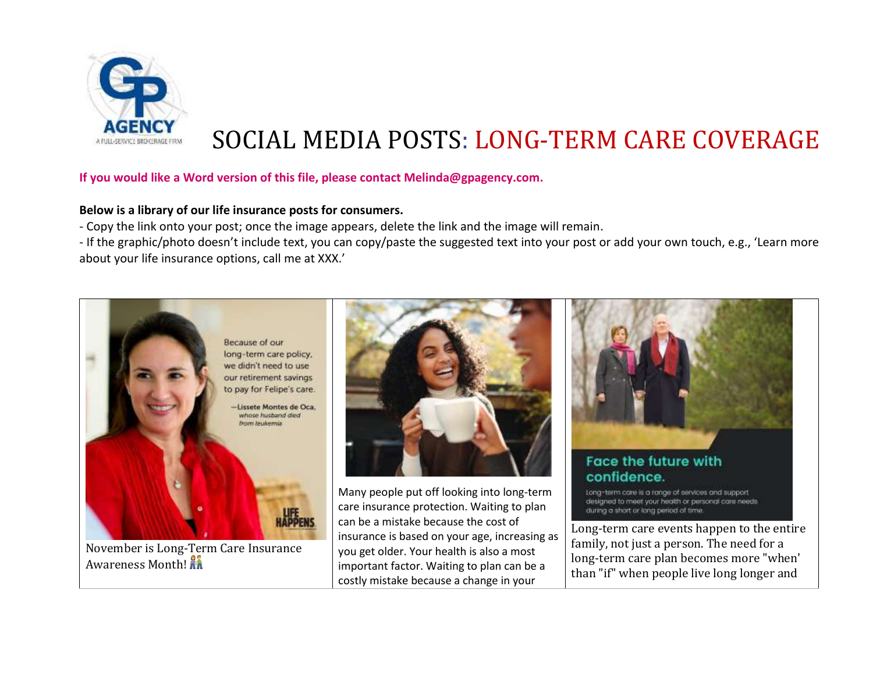

## SOCIAL MEDIA POSTS: LONG-TERM CARE COVERAGE

## **If you would like a Word version of this file, please contact Melinda@gpagency.com.**

## **Below is a library of our life insurance posts for consumers.**

- Copy the link onto your post; once the image appears, delete the link and the image will remain.

- If the graphic/photo doesn't include text, you can copy/paste the suggested text into your post or add your own touch, e.g., 'Learn more about your life insurance options, call me at XXX.'

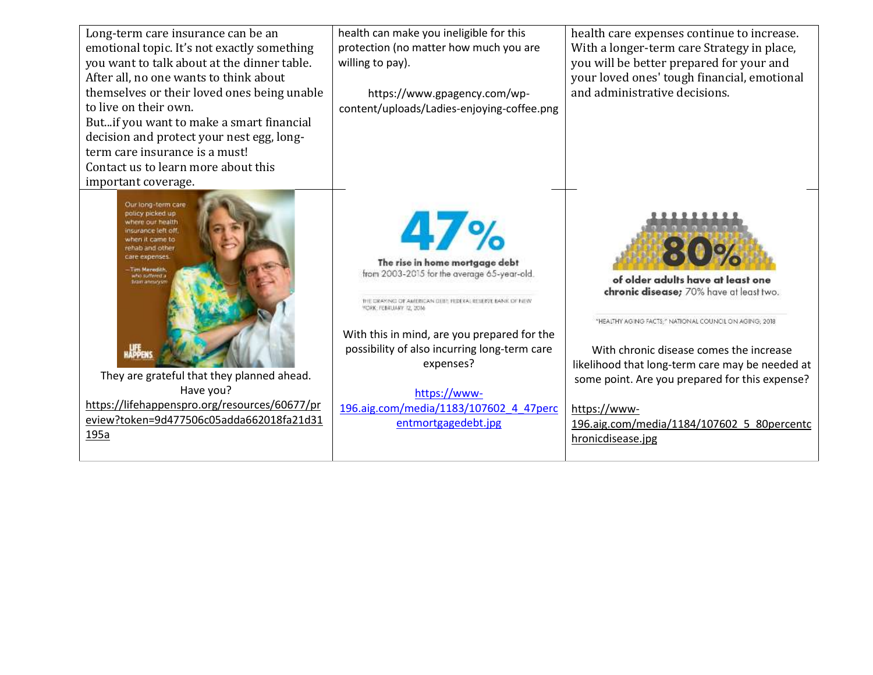| Long-term care insurance can be an<br>emotional topic. It's not exactly something<br>you want to talk about at the dinner table.<br>After all, no one wants to think about<br>themselves or their loved ones being unable<br>to live on their own.<br>Butif you want to make a smart financial<br>decision and protect your nest egg, long-<br>term care insurance is a must!<br>Contact us to learn more about this | health can make you ineligible for this<br>protection (no matter how much you are<br>willing to pay).<br>https://www.gpagency.com/wp-<br>content/uploads/Ladies-enjoying-coffee.png                                                                                                                                                                                        | health care expenses continue to increase.<br>With a longer-term care Strategy in place,<br>you will be better prepared for your and<br>your loved ones' tough financial, emotional<br>and administrative decisions.                                                                                                                                                       |
|----------------------------------------------------------------------------------------------------------------------------------------------------------------------------------------------------------------------------------------------------------------------------------------------------------------------------------------------------------------------------------------------------------------------|----------------------------------------------------------------------------------------------------------------------------------------------------------------------------------------------------------------------------------------------------------------------------------------------------------------------------------------------------------------------------|----------------------------------------------------------------------------------------------------------------------------------------------------------------------------------------------------------------------------------------------------------------------------------------------------------------------------------------------------------------------------|
| important coverage.<br>Our long-term care<br>policy picked up<br>where our health<br>nsurance left off<br>when it came to<br>rehab and other<br>care expenses.<br>– Tim Meredith,<br><b>Drain annunce</b><br>They are grateful that they planned ahead.<br>Have you?<br>https://lifehappenspro.org/resources/60677/pr<br>eview?token=9d477506c05adda662018fa21d31<br>195a                                            | 4/%<br>The rise in home mortgage debt<br>from 2003-2015 for the average 65-year-old.<br>THE CRAYING OF AMERICAN DEBIT HIDEKA: RESERVE BANK OF NEW<br>YCRK: FEBRUARY, 12, 2016<br>With this in mind, are you prepared for the<br>possibility of also incurring long-term care<br>expenses?<br>https://www-<br>196.aig.com/media/1183/107602 4 47perc<br>entmortgagedebt.jpg | of older adults have at least one<br>chronic disease; 70% have at least two.<br>"HEALTHY AGING FACTS;" NATIONAL COUNCIL ON AGING; 2018.<br>With chronic disease comes the increase<br>likelihood that long-term care may be needed at<br>some point. Are you prepared for this expense?<br>https://www-<br>196.aig.com/media/1184/107602 5 80percentc<br>hronicdisease.jpg |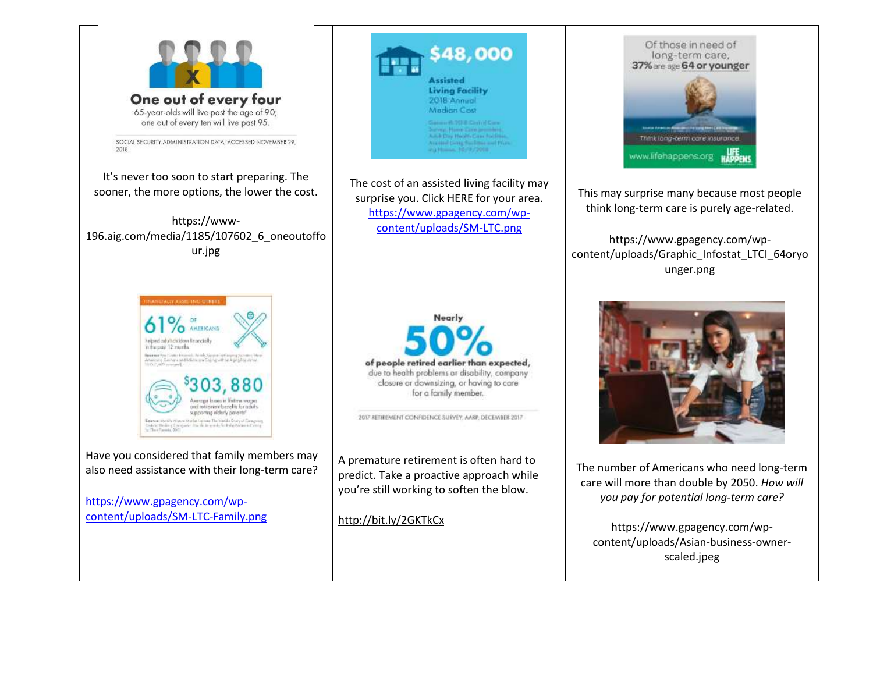



https://www.gpagency.com/wpcontent/uploads/Graphic\_Infostat\_LTCI\_64oryo unger.png



The number of Americans who need long-term care will more than double by 2050. *How will you pay for potential long-term care?*

https://www.gpagency.com/wpcontent/uploads/Asian-business-ownerscaled.jpeg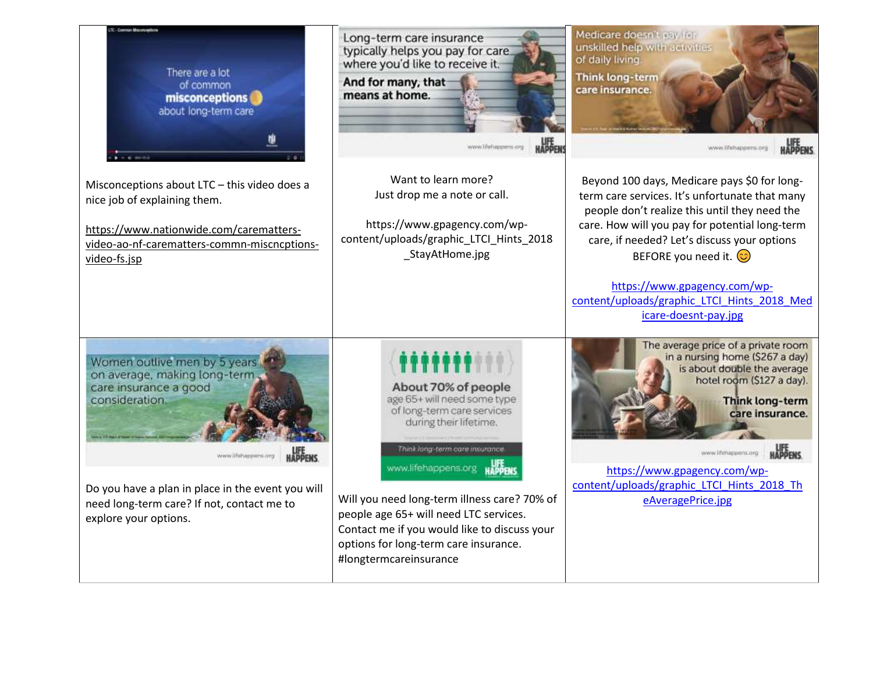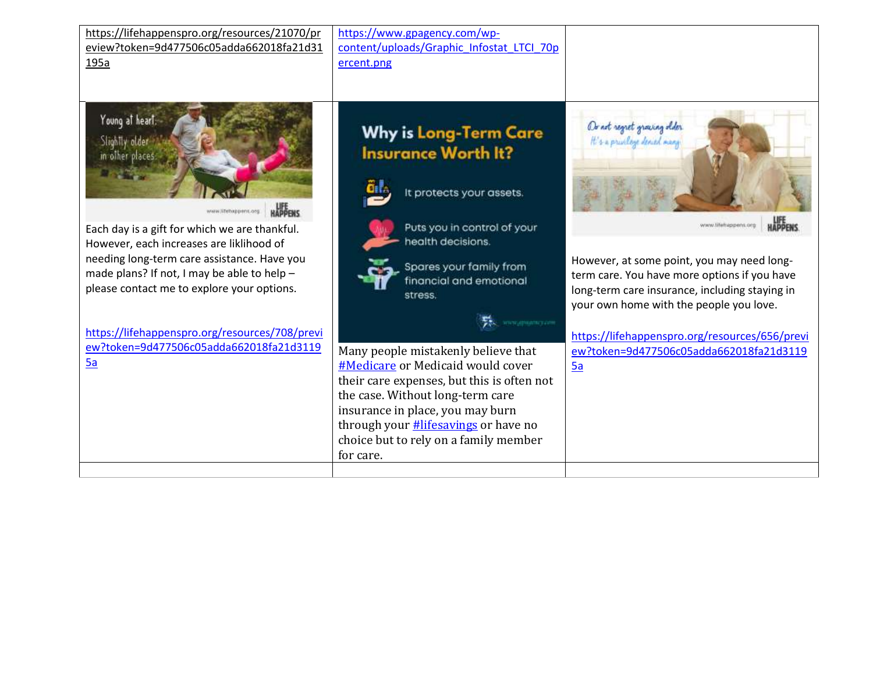| https://lifehappenspro.org/resources/21070/pr<br>eview?token=9d477506c05adda662018fa21d31<br>195a                                                                                                                                     | https://www.gpagency.com/wp-<br>content/uploads/Graphic Infostat LTCI 70p<br>ercent.png                                                                                                                                                                                                             |                                                                                                                                                                                                                 |
|---------------------------------------------------------------------------------------------------------------------------------------------------------------------------------------------------------------------------------------|-----------------------------------------------------------------------------------------------------------------------------------------------------------------------------------------------------------------------------------------------------------------------------------------------------|-----------------------------------------------------------------------------------------------------------------------------------------------------------------------------------------------------------------|
| Young at heart.<br>Slightly older<br>in other places.<br><b>HAPPENS</b><br>www.lifebappens.org                                                                                                                                        | <b>Why is Long-Term Care</b><br><b>Insurance Worth It?</b><br>It protects your assets.                                                                                                                                                                                                              | Or not regret growing older<br>It's a privilege devied many                                                                                                                                                     |
| Each day is a gift for which we are thankful.<br>However, each increases are liklihood of<br>needing long-term care assistance. Have you<br>made plans? If not, I may be able to help -<br>please contact me to explore your options. | Puts you in control of your<br>health decisions.<br>Spares your family from<br>financial and emotional<br>stress.<br>www.ground.com                                                                                                                                                                 | www.tifefrappens.org<br>However, at some point, you may need long-<br>term care. You have more options if you have<br>long-term care insurance, including staying in<br>your own home with the people you love. |
| https://lifehappenspro.org/resources/708/previ<br>ew?token=9d477506c05adda662018fa21d3119<br>5a                                                                                                                                       | Many people mistakenly believe that<br>#Medicare or Medicaid would cover<br>their care expenses, but this is often not<br>the case. Without long-term care<br>insurance in place, you may burn<br>through your <b>#lifesavings</b> or have no<br>choice but to rely on a family member<br>for care. | https://lifehappenspro.org/resources/656/previ<br>ew?token=9d477506c05adda662018fa21d3119<br>5a                                                                                                                 |